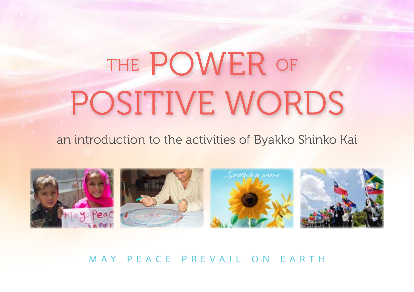# POSITIVE WORDS THE POWER OF

#### an introduction to the activities of Byakko Shinko Kai



May Peace Prevail on E arth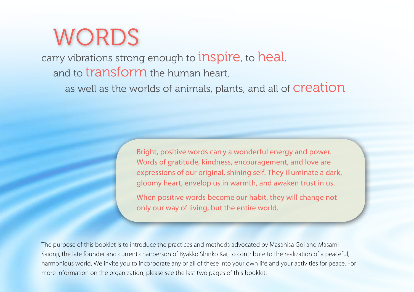# WORDS

carry vibrations strong enough to **inspire**, to **heal**, and to transform the human heart,

as well as the worlds of animals, plants, and all of **Creation** 

Bright, positive words carry a wonderful energy and power. Words of gratitude, kindness, encouragement, and love are expressions of our original, shining self. They illuminate a dark, gloomy heart, envelop us in warmth, and awaken trust in us.

When positive words become our habit, they will change not only our way of living, but the entire world.

The purpose of this booklet is to introduce the practices and methods advocated by Masahisa Goi and Masami Saionji, the late founder and current chairperson of Byakko Shinko Kai, to contribute to the realization of a peaceful, harmonious world. We invite you to incorporate any or all of these into your own life and your activities for peace. For more information on the organization, please see the last two pages of this booklet.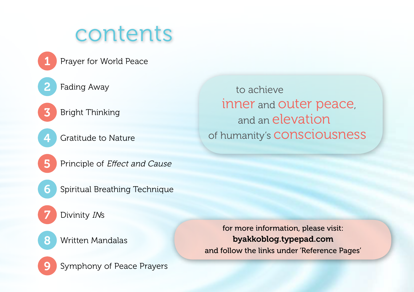## contents

- Prayer for World Peace
- Fading Away 2

1

7

6

9

- Bright Thinking 3
- Gratitude to Nature 4
- Principle of Effect and Cause 5
	- Spiritual Breathing Technique
	- Divinity INs
- Written Mandalas 8

for more information, please visit: byakkoblog.typepad.com and follow the links under 'Reference Pages'

Symphony of Peace Prayers

to achieve inner and outer peace, and an elevation of humanity's consciousness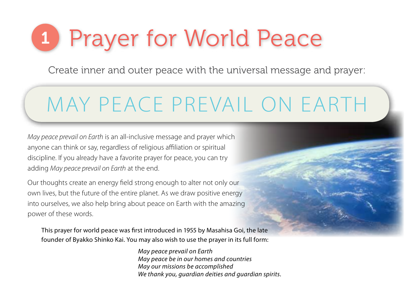# 1 Prayer for World Peace

Create inner and outer peace with the universal message and prayer:

## MAY PEACE PREVAIL ON EARTH

*May peace prevail on Earth* is an all-inclusive message and prayer which anyone can think or say, regardless of religious affiliation or spiritual discipline. If you already have a favorite prayer for peace, you can try adding *May peace prevail on Earth* at the end.

Our thoughts create an energy field strong enough to alter not only our own lives, but the future of the entire planet. As we draw positive energy into ourselves, we also help bring about peace on Earth with the amazing power of these words.

This prayer for world peace was first introduced in 1955 by Masahisa Goi, the late founder of Byakko Shinko Kai. You may also wish to use the prayer in its full form:

> *May peace prevail on Earth May peace be in our homes and countries May our missions be accomplished We thank you, guardian deities and guardian spirits.*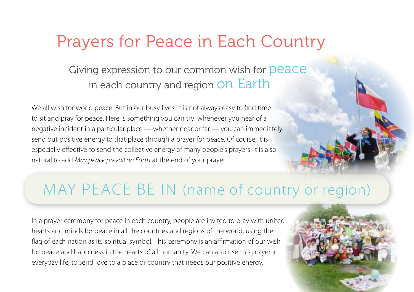### Prayers for Peace in Each Country

#### Giving expression to our common wish for **Deace** in each country and region On Earth

We all wish for world peace. But in our busy lives, it is not always easy to find time to sit and pray for peace. Here is something you can try: whenever you hear of a negative incident in a particular place — whether near or far — you can immediately send out positive energy to that place through a prayer for peace. Of course, it is especially effective to send the collective energy of many people's prayers. It is also natural to add *May peace prevail on Earth* at the end of your prayer.

### MAY PEACE BE IN (name of country or region)

In a prayer ceremony for peace in each country, people are invited to pray with united hearts and minds for peace in all the countries and regions of the world, using the flag of each nation as its spiritual symbol. This ceremony is an affirmation of our wish for peace and happiness in the hearts of all humanity. We can also use this prayer in everyday life, to send love to a place or country that needs our positive energy.

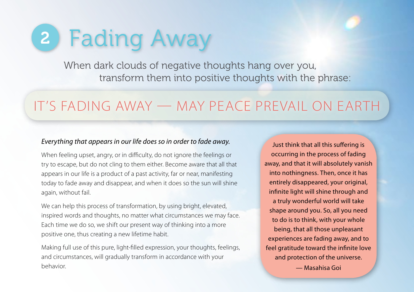# 2 Fading Away

When dark clouds of negative thoughts hang over you, transform them into positive thoughts with the phrase:

### It's fading away — May peace prevail on Earth

#### *Everything that appears in our life does so in order to fade away.*

When feeling upset, angry, or in difficulty, do not ignore the feelings or try to escape, but do not cling to them either. Become aware that all that appears in our life is a product of a past activity, far or near, manifesting today to fade away and disappear, and when it does so the sun will shine again, without fail.

We can help this process of transformation, by using bright, elevated, inspired words and thoughts, no matter what circumstances we may face. Each time we do so, we shift our present way of thinking into a more positive one, thus creating a new lifetime habit.

Making full use of this pure, light-filled expression, your thoughts, feelings, and circumstances, will gradually transform in accordance with your behavior.

Just think that all this suffering is occurring in the process of fading away, and that it will absolutely vanish into nothingness. Then, once it has entirely disappeared, your original, infinite light will shine through and a truly wonderful world will take shape around you. So, all you need to do is to think, with your whole being, that all those unpleasant experiences are fading away, and to feel gratitude toward the infinite love and protection of the universe.

— Masahisa Goi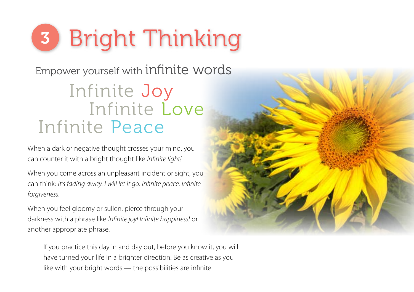

### Infinite Joy Infinite Love Infinite Peace Empower yourself with infinite words

When a dark or negative thought crosses your mind, you can counter it with a bright thought like *Infinite light!*

When you come across an unpleasant incident or sight, you can think: *It's fading away. I will let it go. Infinite peace. Infinite forgiveness.*

When you feel gloomy or sullen, pierce through your darkness with a phrase like *Infinite joy! Infinite happiness!* or another appropriate phrase.

If you practice this day in and day out, before you know it, you will have turned your life in a brighter direction. Be as creative as you like with your bright words — the possibilities are infinite!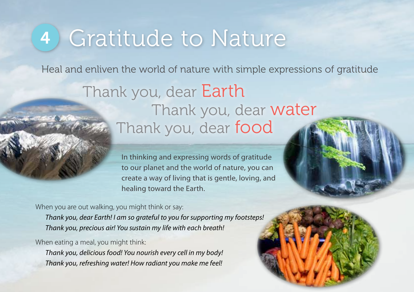## 4 Gratitude to Nature

Heal and enliven the world of nature with simple expressions of gratitude

### Thank you, dear Earth Thank you, dear water Thank you, dear food

In thinking and expressing words of gratitude to our planet and the world of nature, you can create a way of living that is gentle, loving, and healing toward the Earth.

When you are out walking, you might think or say:

*Thank you, dear Earth! I am so grateful to you for supporting my footsteps! Thank you, precious air! You sustain my life with each breath!*

When eating a meal, you might think:

*Thank you, delicious food! You nourish every cell in my body! Thank you, refreshing water! How radiant you make me feel!*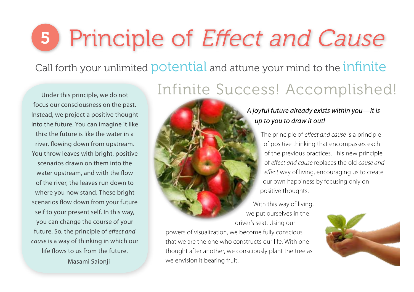# 5 Principle of Effect and Cause

Call forth your unlimited potential and attune your mind to the infinite

Under this principle, we do not focus our consciousness on the past. Instead, we project a positive thought into the future. You can imagine it like this: the future is like the water in a river, flowing down from upstream. You throw leaves with bright, positive scenarios drawn on them into the water upstream, and with the flow of the river, the leaves run down to where you now stand. These bright scenarios flow down from your future self to your present self. In this way, you can change the course of your future. So, the principle of *effect and cause* is a way of thinking in which our life flows to us from the future.

— Masami Saionji

### Infinite Success! Accomplished!

of positive thinking that encompasses each of the previous practices. This new principle of *effect and cause* replaces the old *cause and effect* way of living, encouraging us to create our own happiness by focusing only on



powers of visualization, we become fully conscious that we are the one who constructs our life. With one thought after another, we consciously plant the tree as we envision it bearing fruit.

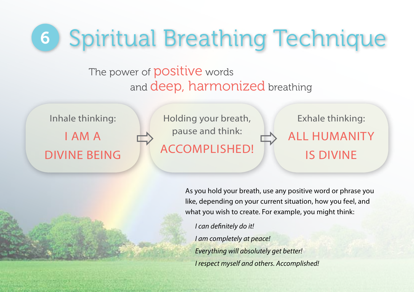# 6 Spiritual Breathing Technique

### The power of **positive** words and deep, harmonized breathing

Inhale thinking: I AM A DIVINE BEING

Holding your breath, pause and think:  $\Rightarrow$  pause and think:  $\Rightarrow$  ACCOMPLISHED! Exhale thinking:

### ALL HUMANITY IS DIVINE

As you hold your breath, use any positive word or phrase you like, depending on your current situation, how you feel, and what you wish to create. For example, you might think:

*I can definitely do it! I am completely at peace! Everything will absolutely get better! I respect myself and others. Accomplished!*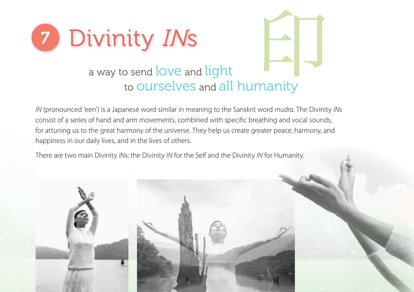



### a way to send love and light to Ourselves and all humanity

*IN* (pronounced 'een') is a Japanese word similar in meaning to the Sanskrit word *mudra*. The Divinity *IN*s consist of a series of hand and arm movements, combined with specific breathing and vocal sounds, for attuning us to the great harmony of the universe. They help us create greater peace, harmony, and happiness in our daily lives, and in the lives of others.

There are two main Divinity *IN*s: the Divinity *IN* for the Self and the Divinity *IN* for Humanity.

![](_page_10_Picture_5.jpeg)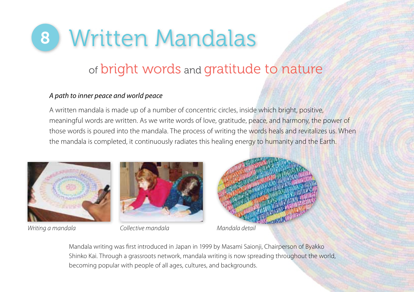![](_page_11_Picture_0.jpeg)

### of bright words and gratitude to nature

#### *A path to inner peace and world peace*

A written mandala is made up of a number of concentric circles, inside which bright, positive, meaningful words are written. As we write words of love, gratitude, peace, and harmony, the power of those words is poured into the mandala. The process of writing the words heals and revitalizes us. When the mandala is completed, it continuously radiates this healing energy to humanity and the Earth.

![](_page_11_Picture_4.jpeg)

*Writing a mandala Collective mandala Mandala detail*

![](_page_11_Picture_6.jpeg)

![](_page_11_Picture_8.jpeg)

Mandala writing was first introduced in Japan in 1999 by Masami Saionji, Chairperson of Byakko Shinko Kai. Through a grassroots network, mandala writing is now spreading throughout the world, becoming popular with people of all ages, cultures, and backgrounds.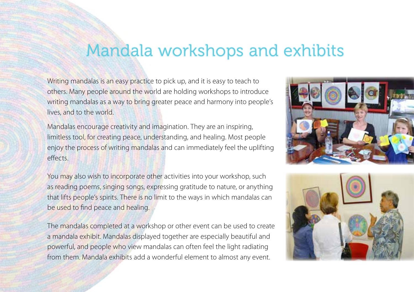### Mandala workshops and exhibits

Writing mandalas is an easy practice to pick up, and it is easy to teach to others. Many people around the world are holding workshops to introduce writing mandalas as a way to bring greater peace and harmony into people's lives, and to the world.

Mandalas encourage creativity and imagination. They are an inspiring, limitless tool, for creating peace, understanding, and healing. Most people enjoy the process of writing mandalas and can immediately feel the uplifting effects.

You may also wish to incorporate other activities into your workshop, such as reading poems, singing songs, expressing gratitude to nature, or anything that lifts people's spirits. There is no limit to the ways in which mandalas can be used to find peace and healing.

The mandalas completed at a workshop or other event can be used to create a mandala exhibit. Mandalas displayed together are especially beautiful and powerful, and people who view mandalas can often feel the light radiating from them. Mandala exhibits add a wonderful element to almost any event.

![](_page_12_Picture_5.jpeg)

![](_page_12_Picture_6.jpeg)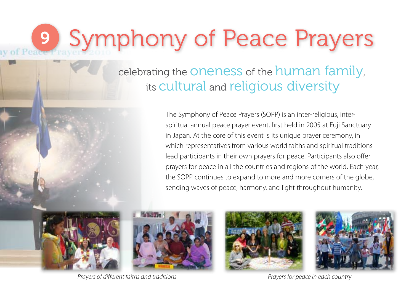# 9 Symphony of Peace Prayers

celebrating the oneness of the human family, its cultural and religious diversity

> The Symphony of Peace Prayers (SOPP) is an inter‐religious, inter‐ spiritual annual peace prayer event, first held in 2005 at Fuji Sanctuary in Japan. At the core of this event is its unique prayer ceremony, in which representatives from various world faiths and spiritual traditions lead participants in their own prayers for peace. Participants also offer prayers for peace in all the countries and regions of the world. Each year, the SOPP continues to expand to more and more corners of the globe, sending waves of peace, harmony, and light throughout humanity.

![](_page_13_Picture_3.jpeg)

![](_page_13_Picture_4.jpeg)

*Prayers of different faiths and traditions Prayers for peace in each country*

![](_page_13_Picture_6.jpeg)

![](_page_13_Picture_7.jpeg)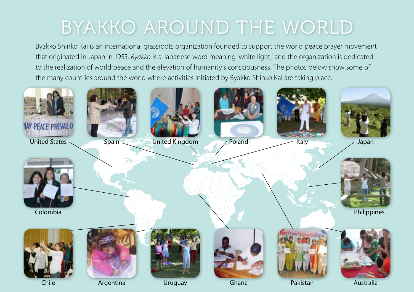### Byakko around the world

Byakko Shinko Kai is an international grassroots organization founded to support the world peace prayer movement that originated in Japan in 1955. *Byakko* is a Japanese word meaning 'white light,' and the organization is dedicated to the realization of world peace and the elevation of humanity's consciousness. The photos below show some of the many countries around the world where activities initiated by Byakko Shinko Kai are taking place.

![](_page_14_Picture_2.jpeg)